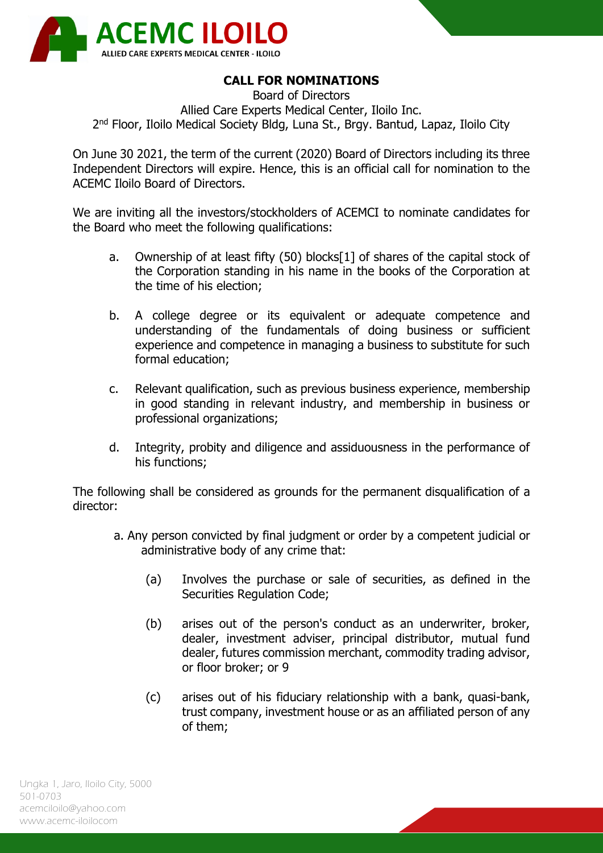

## **CALL FOR NOMINATIONS**

Board of Directors Allied Care Experts Medical Center, Iloilo Inc. 2<sup>nd</sup> Floor, Iloilo Medical Society Bldg, Luna St., Brgy. Bantud, Lapaz, Iloilo City

On June 30 2021, the term of the current (2020) Board of Directors including its three Independent Directors will expire. Hence, this is an official call for nomination to the ACEMC Iloilo Board of Directors.

We are inviting all the investors/stockholders of ACEMCI to nominate candidates for the Board who meet the following qualifications:

- a. Ownership of at least fifty (50) blocks[1] of shares of the capital stock of the Corporation standing in his name in the books of the Corporation at the time of his election;
- b. A college degree or its equivalent or adequate competence and understanding of the fundamentals of doing business or sufficient experience and competence in managing a business to substitute for such formal education;
- c. Relevant qualification, such as previous business experience, membership in good standing in relevant industry, and membership in business or professional organizations;
- d. Integrity, probity and diligence and assiduousness in the performance of his functions;

The following shall be considered as grounds for the permanent disqualification of a director:

- a. Any person convicted by final judgment or order by a competent judicial or administrative body of any crime that:
	- (a) Involves the purchase or sale of securities, as defined in the Securities Regulation Code;
	- (b) arises out of the person's conduct as an underwriter, broker, dealer, investment adviser, principal distributor, mutual fund dealer, futures commission merchant, commodity trading advisor, or floor broker; or 9
	- (c) arises out of his fiduciary relationship with a bank, quasi-bank, trust company, investment house or as an affiliated person of any of them;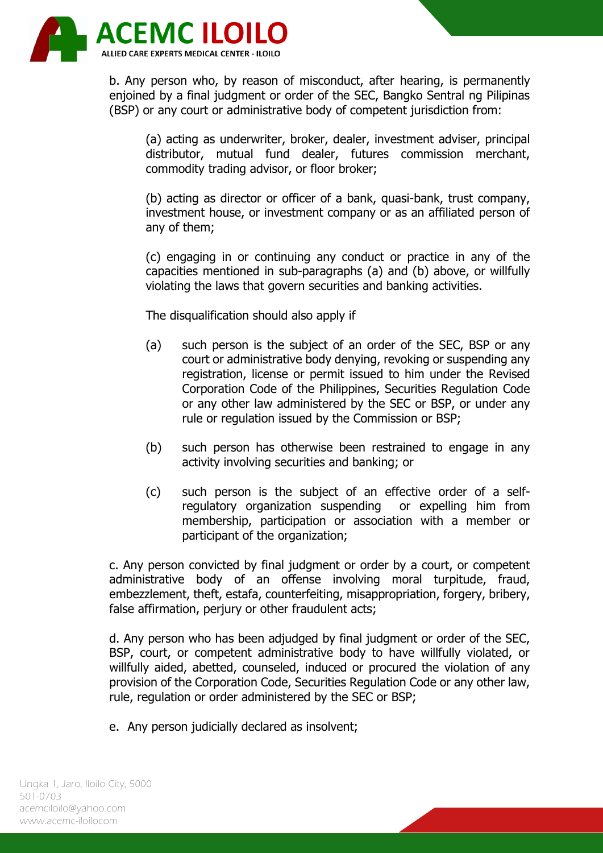

b. Any person who, by reason of misconduct, after hearing, is permanently enjoined by a final judgment or order of the SEC, Bangko Sentral ng Pilipinas (BSP) or any court or administrative body of competent jurisdiction from:

(a) acting as underwriter, broker, dealer, investment adviser, principal distributor, mutual fund dealer, futures commission merchant, commodity trading advisor, or floor broker;

(b) acting as director or officer of a bank, quasi-bank, trust company, investment house, or investment company or as an affiliated person of any of them;

(c) engaging in or continuing any conduct or practice in any of the capacities mentioned in sub-paragraphs (a) and (b) above, or willfully violating the laws that govern securities and banking activities.

The disqualification should also apply if

- (a) such person is the subject of an order of the SEC, BSP or any court or administrative body denying, revoking or suspending any registration, license or permit issued to him under the Revised Corporation Code of the Philippines, Securities Regulation Code or any other law administered by the SEC or BSP, or under any rule or regulation issued by the Commission or BSP;
- (b) such person has otherwise been restrained to engage in any activity involving securities and banking; or
- (c) such person is the subject of an effective order of a selfregulatory organization suspending or expelling him from membership, participation or association with a member or participant of the organization;

c. Any person convicted by final judgment or order by a court, or competent administrative body of an offense involving moral turpitude, fraud, embezzlement, theft, estafa, counterfeiting, misappropriation, forgery, bribery, false affirmation, perjury or other fraudulent acts;

d. Any person who has been adjudged by final judgment or order of the SEC, BSP, court, or competent administrative body to have willfully violated, or willfully aided, abetted, counseled, induced or procured the violation of any provision of the Corporation Code, Securities Regulation Code or any other law, rule, regulation or order administered by the SEC or BSP;

e. Any person judicially declared as insolvent;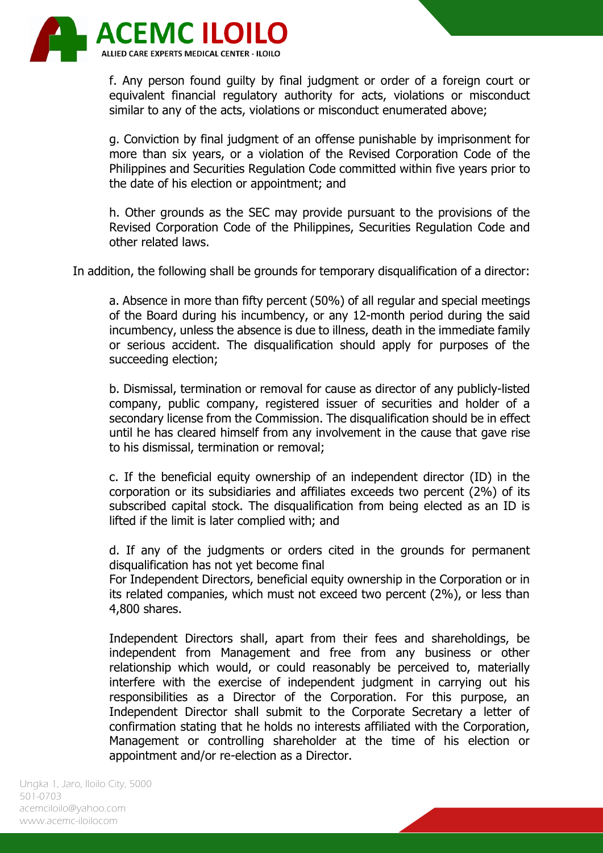

f. Any person found guilty by final judgment or order of a foreign court or equivalent financial regulatory authority for acts, violations or misconduct similar to any of the acts, violations or misconduct enumerated above;

g. Conviction by final judgment of an offense punishable by imprisonment for more than six years, or a violation of the Revised Corporation Code of the Philippines and Securities Regulation Code committed within five years prior to the date of his election or appointment; and

h. Other grounds as the SEC may provide pursuant to the provisions of the Revised Corporation Code of the Philippines, Securities Regulation Code and other related laws.

In addition, the following shall be grounds for temporary disqualification of a director:

a. Absence in more than fifty percent (50%) of all regular and special meetings of the Board during his incumbency, or any 12-month period during the said incumbency, unless the absence is due to illness, death in the immediate family or serious accident. The disqualification should apply for purposes of the succeeding election;

b. Dismissal, termination or removal for cause as director of any publicly-listed company, public company, registered issuer of securities and holder of a secondary license from the Commission. The disqualification should be in effect until he has cleared himself from any involvement in the cause that gave rise to his dismissal, termination or removal;

c. If the beneficial equity ownership of an independent director (ID) in the corporation or its subsidiaries and affiliates exceeds two percent (2%) of its subscribed capital stock. The disqualification from being elected as an ID is lifted if the limit is later complied with; and

d. If any of the judgments or orders cited in the grounds for permanent disqualification has not yet become final

For Independent Directors, beneficial equity ownership in the Corporation or in its related companies, which must not exceed two percent (2%), or less than 4,800 shares.

Independent Directors shall, apart from their fees and shareholdings, be independent from Management and free from any business or other relationship which would, or could reasonably be perceived to, materially interfere with the exercise of independent judgment in carrying out his responsibilities as a Director of the Corporation. For this purpose, an Independent Director shall submit to the Corporate Secretary a letter of confirmation stating that he holds no interests affiliated with the Corporation, Management or controlling shareholder at the time of his election or appointment and/or re-election as a Director.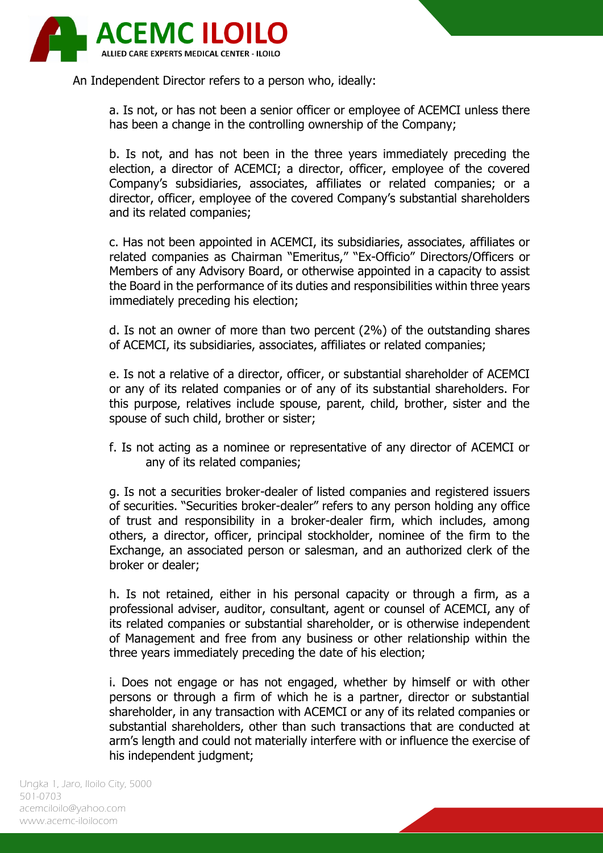

An Independent Director refers to a person who, ideally:

a. Is not, or has not been a senior officer or employee of ACEMCI unless there has been a change in the controlling ownership of the Company;

b. Is not, and has not been in the three years immediately preceding the election, a director of ACEMCI; a director, officer, employee of the covered Company's subsidiaries, associates, affiliates or related companies; or a director, officer, employee of the covered Company's substantial shareholders and its related companies;

c. Has not been appointed in ACEMCI, its subsidiaries, associates, affiliates or related companies as Chairman "Emeritus," "Ex-Officio" Directors/Officers or Members of any Advisory Board, or otherwise appointed in a capacity to assist the Board in the performance of its duties and responsibilities within three years immediately preceding his election;

d. Is not an owner of more than two percent (2%) of the outstanding shares of ACEMCI, its subsidiaries, associates, affiliates or related companies;

e. Is not a relative of a director, officer, or substantial shareholder of ACEMCI or any of its related companies or of any of its substantial shareholders. For this purpose, relatives include spouse, parent, child, brother, sister and the spouse of such child, brother or sister;

f. Is not acting as a nominee or representative of any director of ACEMCI or any of its related companies;

g. Is not a securities broker-dealer of listed companies and registered issuers of securities. "Securities broker-dealer" refers to any person holding any office of trust and responsibility in a broker-dealer firm, which includes, among others, a director, officer, principal stockholder, nominee of the firm to the Exchange, an associated person or salesman, and an authorized clerk of the broker or dealer;

h. Is not retained, either in his personal capacity or through a firm, as a professional adviser, auditor, consultant, agent or counsel of ACEMCI, any of its related companies or substantial shareholder, or is otherwise independent of Management and free from any business or other relationship within the three years immediately preceding the date of his election;

i. Does not engage or has not engaged, whether by himself or with other persons or through a firm of which he is a partner, director or substantial shareholder, in any transaction with ACEMCI or any of its related companies or substantial shareholders, other than such transactions that are conducted at arm's length and could not materially interfere with or influence the exercise of his independent judgment;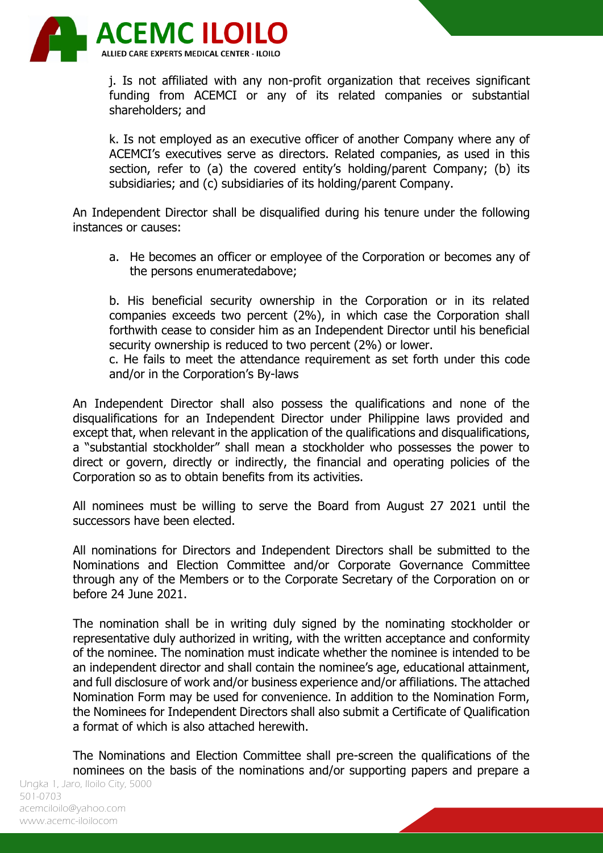

j. Is not affiliated with any non-profit organization that receives significant funding from ACEMCI or any of its related companies or substantial shareholders; and

k. Is not employed as an executive officer of another Company where any of ACEMCI's executives serve as directors. Related companies, as used in this section, refer to (a) the covered entity's holding/parent Company; (b) its subsidiaries; and (c) subsidiaries of its holding/parent Company.

An Independent Director shall be disqualified during his tenure under the following instances or causes:

a. He becomes an officer or employee of the Corporation or becomes any of the persons enumeratedabove;

b. His beneficial security ownership in the Corporation or in its related companies exceeds two percent (2%), in which case the Corporation shall forthwith cease to consider him as an Independent Director until his beneficial security ownership is reduced to two percent (2%) or lower.

c. He fails to meet the attendance requirement as set forth under this code and/or in the Corporation's By-laws

An Independent Director shall also possess the qualifications and none of the disqualifications for an Independent Director under Philippine laws provided and except that, when relevant in the application of the qualifications and disqualifications, a "substantial stockholder" shall mean a stockholder who possesses the power to direct or govern, directly or indirectly, the financial and operating policies of the Corporation so as to obtain benefits from its activities.

All nominees must be willing to serve the Board from August 27 2021 until the successors have been elected.

All nominations for Directors and Independent Directors shall be submitted to the Nominations and Election Committee and/or Corporate Governance Committee through any of the Members or to the Corporate Secretary of the Corporation on or before 24 June 2021.

The nomination shall be in writing duly signed by the nominating stockholder or representative duly authorized in writing, with the written acceptance and conformity of the nominee. The nomination must indicate whether the nominee is intended to be an independent director and shall contain the nominee's age, educational attainment, and full disclosure of work and/or business experience and/or affiliations. The attached Nomination Form may be used for convenience. In addition to the Nomination Form, the Nominees for Independent Directors shall also submit a Certificate of Qualification a format of which is also attached herewith.

Ungka 1, Jaro, Iloilo City, 5000 The Nominations and Election Committee shall pre-screen the qualifications of the nominees on the basis of the nominations and/or supporting papers and prepare a